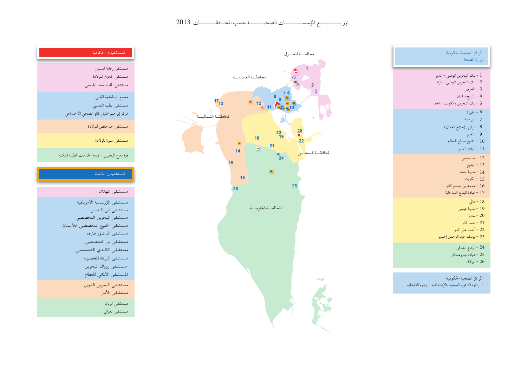توز يستسمع المؤسســــــات الصحيــــــة حسب المحـافظــــــات 2013



\* إدارة الشئون الصحية والإجتماعية -وزارة الداخلية



| المستشفيات الحكومية                                                                                        |
|------------------------------------------------------------------------------------------------------------|
| مستشفى رعاية المسنين<br>مستشفى المحرق للولادة<br>مستشفى الملك حمد الجامعي                                  |
| مجمع السلمانية الطبي<br>مستشفى الطب النفسي<br>مركز إبراهيم خليل كانو الصحي الاجتماعي                       |
| مستشفى جدحفص للولادة                                                                                       |
| مستشفى سترة للولادة                                                                                        |
| قوة دفاع البحرين – قيادة الخدمات الطبية الملكية                                                            |
| المستشفيات الخاصة                                                                                          |
| مستشفى الهلال                                                                                              |
| مستشفى الإرسالية الأمريكية<br>مستشفى ابن النفيس<br>مستشفى البحرين التخصصي<br>مستشفى الخليج التخصصي للأسنان |

| مستشفى ابن النفيس             |
|-------------------------------|
| مستشفى البحرين التخصصي        |
| مستشفى الخليج التخصصي للأسنان |
| مستشفى الدكتور طارق           |
| مستشفى نور التخصصي            |
| مستشفى الكندي التخصصي         |
| مستشفى البركة للخصوبة         |
| مستشفى رويال البحرين          |
| المستشفى الألماني للعظام      |
| مستشفى البحرين الدولي         |
| مستشفى الأمل                  |
| مستشفى الريان                 |
| مستشفى العوالي                |

مست

المسنا